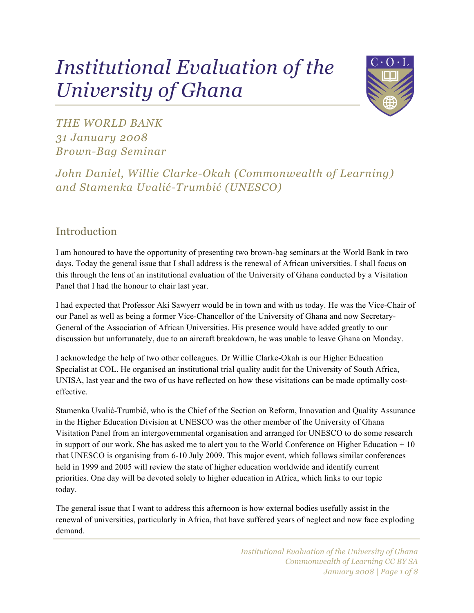# *Institutional Evaluation of the University of Ghana*



*THE WORLD BANK 31 January 2008 Brown-Bag Seminar*

*John Daniel, Willie Clarke-Okah (Commonwealth of Learning) and Stamenka Uvalić-Trumbić (UNESCO)*

# **Introduction**

I am honoured to have the opportunity of presenting two brown-bag seminars at the World Bank in two days. Today the general issue that I shall address is the renewal of African universities. I shall focus on this through the lens of an institutional evaluation of the University of Ghana conducted by a Visitation Panel that I had the honour to chair last year.

I had expected that Professor Aki Sawyerr would be in town and with us today. He was the Vice-Chair of our Panel as well as being a former Vice-Chancellor of the University of Ghana and now Secretary-General of the Association of African Universities. His presence would have added greatly to our discussion but unfortunately, due to an aircraft breakdown, he was unable to leave Ghana on Monday.

I acknowledge the help of two other colleagues. Dr Willie Clarke-Okah is our Higher Education Specialist at COL. He organised an institutional trial quality audit for the University of South Africa, UNISA, last year and the two of us have reflected on how these visitations can be made optimally costeffective.

Stamenka Uvalić-Trumbić, who is the Chief of the Section on Reform, Innovation and Quality Assurance in the Higher Education Division at UNESCO was the other member of the University of Ghana Visitation Panel from an intergovernmental organisation and arranged for UNESCO to do some research in support of our work. She has asked me to alert you to the World Conference on Higher Education + 10 that UNESCO is organising from 6-10 July 2009. This major event, which follows similar conferences held in 1999 and 2005 will review the state of higher education worldwide and identify current priorities. One day will be devoted solely to higher education in Africa, which links to our topic today.

The general issue that I want to address this afternoon is how external bodies usefully assist in the renewal of universities, particularly in Africa, that have suffered years of neglect and now face exploding demand.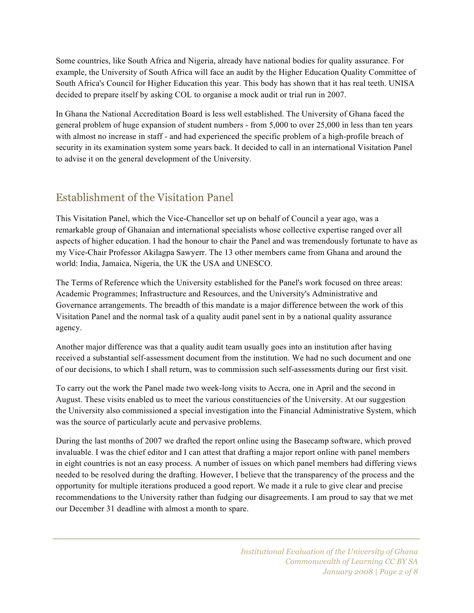Some countries, like South Africa and Nigeria, already have national bodies for quality assurance. For example, the University of South Africa will face an audit by the Higher Education Quality Committee of South Africa's Council for Higher Education this year. This body has shown that it has real teeth. UNISA decided to prepare itself by asking COL to organise a mock audit or trial run in 2007.

In Ghana the National Accreditation Board is less well established. The University of Ghana faced the general problem of huge expansion of student numbers - from 5,000 to over 25,000 in less than ten years with almost no increase in staff - and had experienced the specific problem of a high-profile breach of security in its examination system some years back. It decided to call in an international Visitation Panel to advise it on the general development of the University.

## Establishment of the Visitation Panel

This Visitation Panel, which the Vice-Chancellor set up on behalf of Council a year ago, was a remarkable group of Ghanaian and international specialists whose collective expertise ranged over all aspects of higher education. I had the honour to chair the Panel and was tremendously fortunate to have as my Vice-Chair Professor Akilagpa Sawyerr. The 13 other members came from Ghana and around the world: India, Jamaica, Nigeria, the UK the USA and UNESCO.

The Terms of Reference which the University established for the Panel's work focused on three areas: Academic Programmes; Infrastructure and Resources, and the University's Administrative and Governance arrangements. The breadth of this mandate is a major difference between the work of this Visitation Panel and the normal task of a quality audit panel sent in by a national quality assurance agency.

Another major difference was that a quality audit team usually goes into an institution after having received a substantial self-assessment document from the institution. We had no such document and one of our decisions, to which I shall return, was to commission such self-assessments during our first visit.

To carry out the work the Panel made two week-long visits to Accra, one in April and the second in August. These visits enabled us to meet the various constituencies of the University. At our suggestion the University also commissioned a special investigation into the Financial Administrative System, which was the source of particularly acute and pervasive problems.

During the last months of 2007 we drafted the report online using the Basecamp software, which proved invaluable. I was the chief editor and I can attest that drafting a major report online with panel members in eight countries is not an easy process. A number of issues on which panel members had differing views needed to be resolved during the drafting. However, I believe that the transparency of the process and the opportunity for multiple iterations produced a good report. We made it a rule to give clear and precise recommendations to the University rather than fudging our disagreements. I am proud to say that we met our December 31 deadline with almost a month to spare.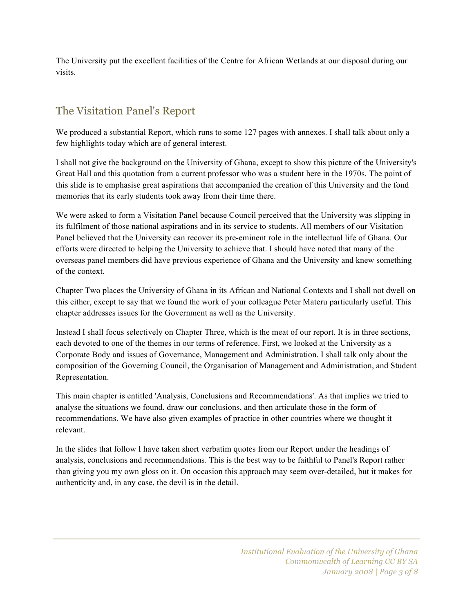The University put the excellent facilities of the Centre for African Wetlands at our disposal during our visits.

## The Visitation Panel's Report

We produced a substantial Report, which runs to some 127 pages with annexes. I shall talk about only a few highlights today which are of general interest.

I shall not give the background on the University of Ghana, except to show this picture of the University's Great Hall and this quotation from a current professor who was a student here in the 1970s. The point of this slide is to emphasise great aspirations that accompanied the creation of this University and the fond memories that its early students took away from their time there.

We were asked to form a Visitation Panel because Council perceived that the University was slipping in its fulfilment of those national aspirations and in its service to students. All members of our Visitation Panel believed that the University can recover its pre-eminent role in the intellectual life of Ghana. Our efforts were directed to helping the University to achieve that. I should have noted that many of the overseas panel members did have previous experience of Ghana and the University and knew something of the context.

Chapter Two places the University of Ghana in its African and National Contexts and I shall not dwell on this either, except to say that we found the work of your colleague Peter Materu particularly useful. This chapter addresses issues for the Government as well as the University.

Instead I shall focus selectively on Chapter Three, which is the meat of our report. It is in three sections, each devoted to one of the themes in our terms of reference. First, we looked at the University as a Corporate Body and issues of Governance, Management and Administration. I shall talk only about the composition of the Governing Council, the Organisation of Management and Administration, and Student Representation.

This main chapter is entitled 'Analysis, Conclusions and Recommendations'. As that implies we tried to analyse the situations we found, draw our conclusions, and then articulate those in the form of recommendations. We have also given examples of practice in other countries where we thought it relevant.

In the slides that follow I have taken short verbatim quotes from our Report under the headings of analysis, conclusions and recommendations. This is the best way to be faithful to Panel's Report rather than giving you my own gloss on it. On occasion this approach may seem over-detailed, but it makes for authenticity and, in any case, the devil is in the detail.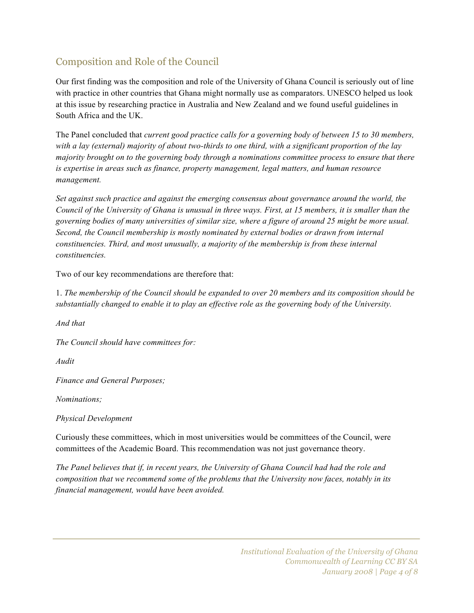## Composition and Role of the Council

Our first finding was the composition and role of the University of Ghana Council is seriously out of line with practice in other countries that Ghana might normally use as comparators. UNESCO helped us look at this issue by researching practice in Australia and New Zealand and we found useful guidelines in South Africa and the UK.

The Panel concluded that *current good practice calls for a governing body of between 15 to 30 members, with a lay (external) majority of about two-thirds to one third, with a significant proportion of the lay majority brought on to the governing body through a nominations committee process to ensure that there is expertise in areas such as finance, property management, legal matters, and human resource management.*

*Set against such practice and against the emerging consensus about governance around the world, the Council of the University of Ghana is unusual in three ways. First, at 15 members, it is smaller than the governing bodies of many universities of similar size, where a figure of around 25 might be more usual. Second, the Council membership is mostly nominated by external bodies or drawn from internal constituencies. Third, and most unusually, a majority of the membership is from these internal constituencies.*

Two of our key recommendations are therefore that:

1. *The membership of the Council should be expanded to over 20 members and its composition should be substantially changed to enable it to play an effective role as the governing body of the University.*

*And that*

*The Council should have committees for:*

*Audit*

*Finance and General Purposes;*

*Nominations;*

*Physical Development*

Curiously these committees, which in most universities would be committees of the Council, were committees of the Academic Board. This recommendation was not just governance theory.

*The Panel believes that if, in recent years, the University of Ghana Council had had the role and composition that we recommend some of the problems that the University now faces, notably in its financial management, would have been avoided.*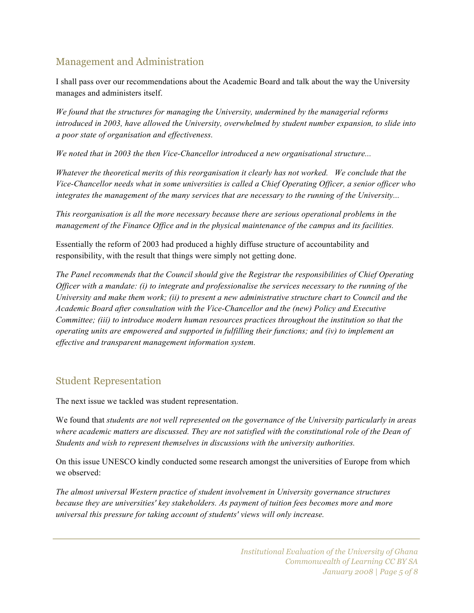## Management and Administration

I shall pass over our recommendations about the Academic Board and talk about the way the University manages and administers itself.

*We found that the structures for managing the University, undermined by the managerial reforms introduced in 2003, have allowed the University, overwhelmed by student number expansion, to slide into a poor state of organisation and effectiveness.*

*We noted that in 2003 the then Vice-Chancellor introduced a new organisational structure...*

*Whatever the theoretical merits of this reorganisation it clearly has not worked. We conclude that the Vice-Chancellor needs what in some universities is called a Chief Operating Officer, a senior officer who integrates the management of the many services that are necessary to the running of the University...*

*This reorganisation is all the more necessary because there are serious operational problems in the management of the Finance Office and in the physical maintenance of the campus and its facilities.*

Essentially the reform of 2003 had produced a highly diffuse structure of accountability and responsibility, with the result that things were simply not getting done.

*The Panel recommends that the Council should give the Registrar the responsibilities of Chief Operating Officer with a mandate: (i) to integrate and professionalise the services necessary to the running of the University and make them work; (ii) to present a new administrative structure chart to Council and the Academic Board after consultation with the Vice-Chancellor and the (new) Policy and Executive Committee; (iii) to introduce modern human resources practices throughout the institution so that the operating units are empowered and supported in fulfilling their functions; and (iv) to implement an effective and transparent management information system.*

#### Student Representation

The next issue we tackled was student representation.

We found that *students are not well represented on the governance of the University particularly in areas where academic matters are discussed. They are not satisfied with the constitutional role of the Dean of Students and wish to represent themselves in discussions with the university authorities.*

On this issue UNESCO kindly conducted some research amongst the universities of Europe from which we observed:

*The almost universal Western practice of student involvement in University governance structures because they are universities' key stakeholders. As payment of tuition fees becomes more and more universal this pressure for taking account of students' views will only increase.*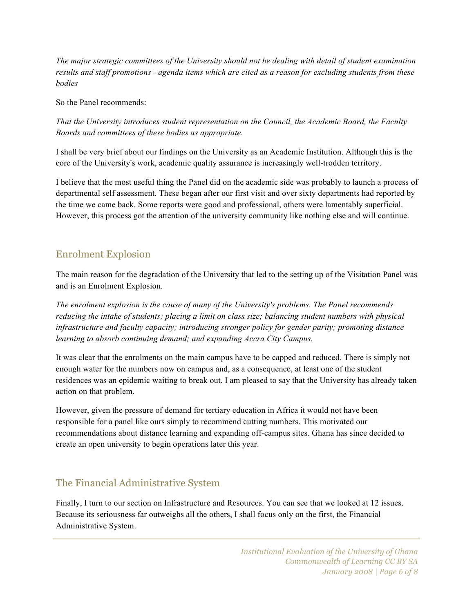*The major strategic committees of the University should not be dealing with detail of student examination results and staff promotions - agenda items which are cited as a reason for excluding students from these bodies*

So the Panel recommends:

*That the University introduces student representation on the Council, the Academic Board, the Faculty Boards and committees of these bodies as appropriate.*

I shall be very brief about our findings on the University as an Academic Institution. Although this is the core of the University's work, academic quality assurance is increasingly well-trodden territory.

I believe that the most useful thing the Panel did on the academic side was probably to launch a process of departmental self assessment. These began after our first visit and over sixty departments had reported by the time we came back. Some reports were good and professional, others were lamentably superficial. However, this process got the attention of the university community like nothing else and will continue.

#### Enrolment Explosion

The main reason for the degradation of the University that led to the setting up of the Visitation Panel was and is an Enrolment Explosion.

*The enrolment explosion is the cause of many of the University's problems. The Panel recommends reducing the intake of students; placing a limit on class size; balancing student numbers with physical infrastructure and faculty capacity; introducing stronger policy for gender parity; promoting distance learning to absorb continuing demand; and expanding Accra City Campus.*

It was clear that the enrolments on the main campus have to be capped and reduced. There is simply not enough water for the numbers now on campus and, as a consequence, at least one of the student residences was an epidemic waiting to break out. I am pleased to say that the University has already taken action on that problem.

However, given the pressure of demand for tertiary education in Africa it would not have been responsible for a panel like ours simply to recommend cutting numbers. This motivated our recommendations about distance learning and expanding off-campus sites. Ghana has since decided to create an open university to begin operations later this year.

#### The Financial Administrative System

Finally, I turn to our section on Infrastructure and Resources. You can see that we looked at 12 issues. Because its seriousness far outweighs all the others, I shall focus only on the first, the Financial Administrative System.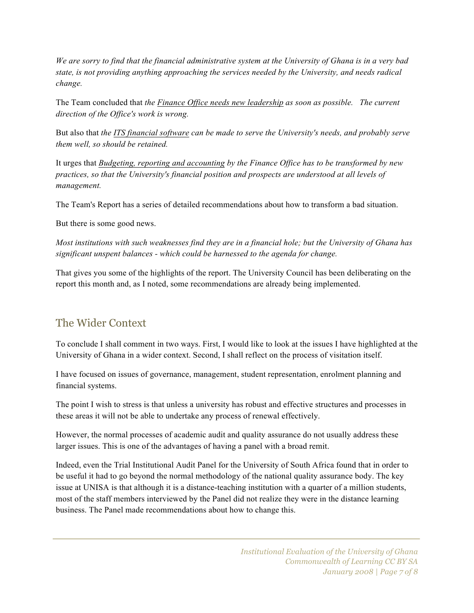*We are sorry to find that the financial administrative system at the University of Ghana is in a very bad state, is not providing anything approaching the services needed by the University, and needs radical change.*

The Team concluded that *the Finance Office needs new leadership as soon as possible. The current direction of the Office's work is wrong.*

But also that *the ITS financial software can be made to serve the University's needs, and probably serve them well, so should be retained.*

It urges that *Budgeting, reporting and accounting by the Finance Office has to be transformed by new practices, so that the University's financial position and prospects are understood at all levels of management.*

The Team's Report has a series of detailed recommendations about how to transform a bad situation.

But there is some good news.

*Most institutions with such weaknesses find they are in a financial hole; but the University of Ghana has significant unspent balances - which could be harnessed to the agenda for change.*

That gives you some of the highlights of the report. The University Council has been deliberating on the report this month and, as I noted, some recommendations are already being implemented.

## The Wider Context

To conclude I shall comment in two ways. First, I would like to look at the issues I have highlighted at the University of Ghana in a wider context. Second, I shall reflect on the process of visitation itself.

I have focused on issues of governance, management, student representation, enrolment planning and financial systems.

The point I wish to stress is that unless a university has robust and effective structures and processes in these areas it will not be able to undertake any process of renewal effectively.

However, the normal processes of academic audit and quality assurance do not usually address these larger issues. This is one of the advantages of having a panel with a broad remit.

Indeed, even the Trial Institutional Audit Panel for the University of South Africa found that in order to be useful it had to go beyond the normal methodology of the national quality assurance body. The key issue at UNISA is that although it is a distance-teaching institution with a quarter of a million students, most of the staff members interviewed by the Panel did not realize they were in the distance learning business. The Panel made recommendations about how to change this.